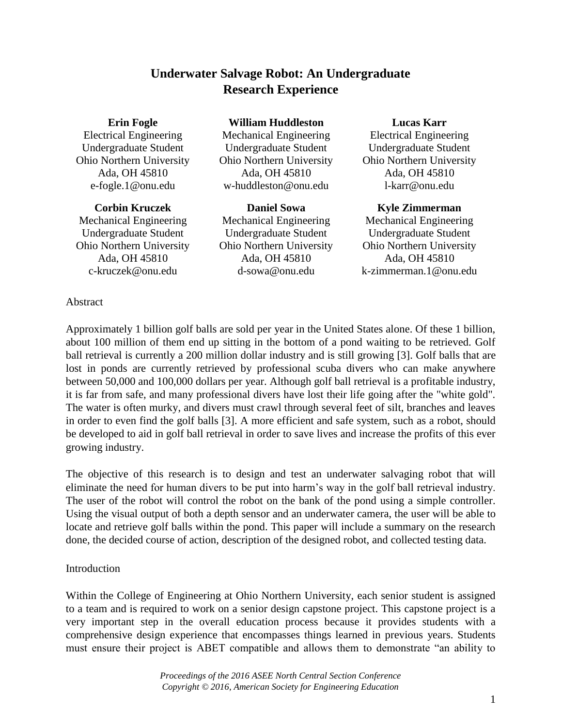# **Underwater Salvage Robot: An Undergraduate Research Experience**

# **Erin Fogle**

Electrical Engineering Undergraduate Student Ohio Northern University Ada, OH 45810 e-fogle.1@onu.edu

#### **Corbin Kruczek**

Mechanical Engineering Undergraduate Student Ohio Northern University Ada, OH 45810 c-kruczek@onu.edu

# **William Huddleston**

Mechanical Engineering Undergraduate Student Ohio Northern University Ada, OH 45810 w-huddleston@onu.edu

# **Daniel Sowa** Mechanical Engineering

Undergraduate Student Ohio Northern University Ada, OH 45810 d-sowa@onu.edu

#### **Lucas Karr**

Electrical Engineering Undergraduate Student Ohio Northern University Ada, OH 45810 l-karr@onu.edu

#### **Kyle Zimmerman**

Mechanical Engineering Undergraduate Student Ohio Northern University Ada, OH 45810 k-zimmerman.1@onu.edu

#### Abstract

Approximately 1 billion golf balls are sold per year in the United States alone. Of these 1 billion, about 100 million of them end up sitting in the bottom of a pond waiting to be retrieved. Golf ball retrieval is currently a 200 million dollar industry and is still growing [3]. Golf balls that are lost in ponds are currently retrieved by professional scuba divers who can make anywhere between 50,000 and 100,000 dollars per year. Although golf ball retrieval is a profitable industry, it is far from safe, and many professional divers have lost their life going after the "white gold". The water is often murky, and divers must crawl through several feet of silt, branches and leaves in order to even find the golf balls [3]. A more efficient and safe system, such as a robot, should be developed to aid in golf ball retrieval in order to save lives and increase the profits of this ever growing industry.

The objective of this research is to design and test an underwater salvaging robot that will eliminate the need for human divers to be put into harm's way in the golf ball retrieval industry. The user of the robot will control the robot on the bank of the pond using a simple controller. Using the visual output of both a depth sensor and an underwater camera, the user will be able to locate and retrieve golf balls within the pond. This paper will include a summary on the research done, the decided course of action, description of the designed robot, and collected testing data.

#### Introduction

Within the College of Engineering at Ohio Northern University, each senior student is assigned to a team and is required to work on a senior design capstone project. This capstone project is a very important step in the overall education process because it provides students with a comprehensive design experience that encompasses things learned in previous years. Students must ensure their project is ABET compatible and allows them to demonstrate "an ability to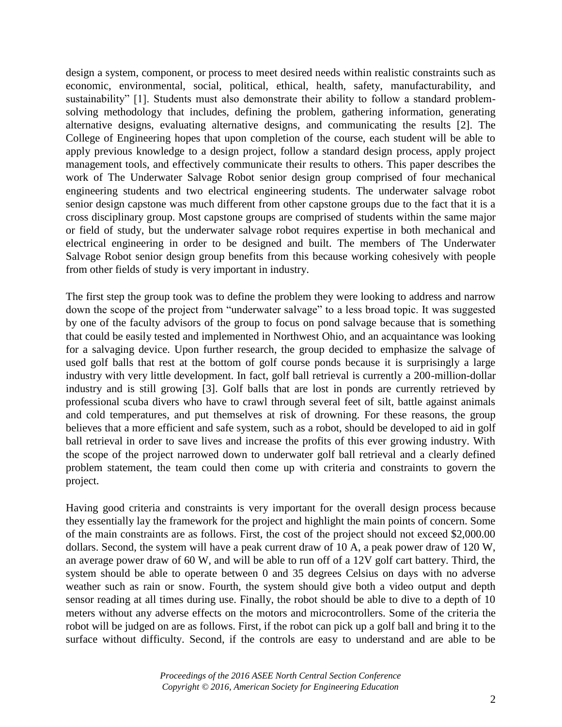design a system, component, or process to meet desired needs within realistic constraints such as economic, environmental, social, political, ethical, health, safety, manufacturability, and sustainability" [1]. Students must also demonstrate their ability to follow a standard problemsolving methodology that includes, defining the problem, gathering information, generating alternative designs, evaluating alternative designs, and communicating the results [2]. The College of Engineering hopes that upon completion of the course, each student will be able to apply previous knowledge to a design project, follow a standard design process, apply project management tools, and effectively communicate their results to others. This paper describes the work of The Underwater Salvage Robot senior design group comprised of four mechanical engineering students and two electrical engineering students. The underwater salvage robot senior design capstone was much different from other capstone groups due to the fact that it is a cross disciplinary group. Most capstone groups are comprised of students within the same major or field of study, but the underwater salvage robot requires expertise in both mechanical and electrical engineering in order to be designed and built. The members of The Underwater Salvage Robot senior design group benefits from this because working cohesively with people from other fields of study is very important in industry.

The first step the group took was to define the problem they were looking to address and narrow down the scope of the project from "underwater salvage" to a less broad topic. It was suggested by one of the faculty advisors of the group to focus on pond salvage because that is something that could be easily tested and implemented in Northwest Ohio, and an acquaintance was looking for a salvaging device. Upon further research, the group decided to emphasize the salvage of used golf balls that rest at the bottom of golf course ponds because it is surprisingly a large industry with very little development. In fact, golf ball retrieval is currently a 200-million-dollar industry and is still growing [3]. Golf balls that are lost in ponds are currently retrieved by professional scuba divers who have to crawl through several feet of silt, battle against animals and cold temperatures, and put themselves at risk of drowning. For these reasons, the group believes that a more efficient and safe system, such as a robot, should be developed to aid in golf ball retrieval in order to save lives and increase the profits of this ever growing industry. With the scope of the project narrowed down to underwater golf ball retrieval and a clearly defined problem statement, the team could then come up with criteria and constraints to govern the project.

Having good criteria and constraints is very important for the overall design process because they essentially lay the framework for the project and highlight the main points of concern. Some of the main constraints are as follows. First, the cost of the project should not exceed \$2,000.00 dollars. Second, the system will have a peak current draw of 10 A, a peak power draw of 120 W, an average power draw of 60 W, and will be able to run off of a 12V golf cart battery. Third, the system should be able to operate between 0 and 35 degrees Celsius on days with no adverse weather such as rain or snow. Fourth, the system should give both a video output and depth sensor reading at all times during use. Finally, the robot should be able to dive to a depth of 10 meters without any adverse effects on the motors and microcontrollers. Some of the criteria the robot will be judged on are as follows. First, if the robot can pick up a golf ball and bring it to the surface without difficulty. Second, if the controls are easy to understand and are able to be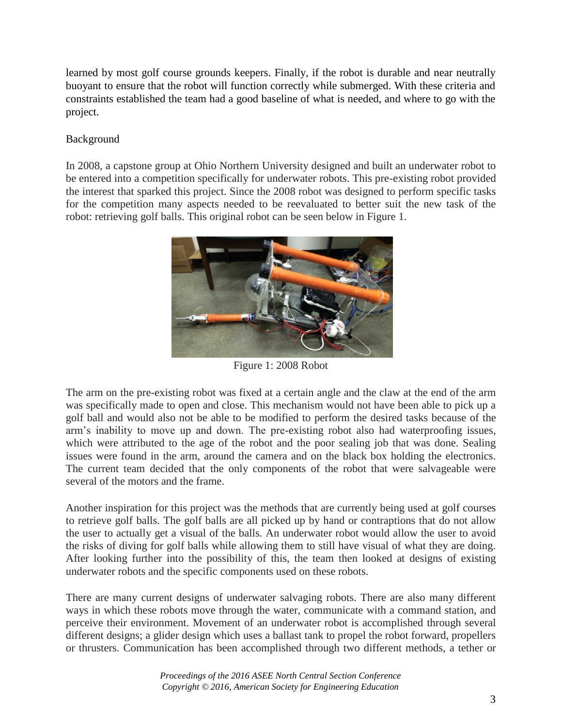learned by most golf course grounds keepers. Finally, if the robot is durable and near neutrally buoyant to ensure that the robot will function correctly while submerged. With these criteria and constraints established the team had a good baseline of what is needed, and where to go with the project.

# Background

In 2008, a capstone group at Ohio Northern University designed and built an underwater robot to be entered into a competition specifically for underwater robots. This pre-existing robot provided the interest that sparked this project. Since the 2008 robot was designed to perform specific tasks for the competition many aspects needed to be reevaluated to better suit the new task of the robot: retrieving golf balls. This original robot can be seen below in Figure 1.



Figure 1: 2008 Robot

The arm on the pre-existing robot was fixed at a certain angle and the claw at the end of the arm was specifically made to open and close. This mechanism would not have been able to pick up a golf ball and would also not be able to be modified to perform the desired tasks because of the arm's inability to move up and down. The pre-existing robot also had waterproofing issues, which were attributed to the age of the robot and the poor sealing job that was done. Sealing issues were found in the arm, around the camera and on the black box holding the electronics. The current team decided that the only components of the robot that were salvageable were several of the motors and the frame.

Another inspiration for this project was the methods that are currently being used at golf courses to retrieve golf balls. The golf balls are all picked up by hand or contraptions that do not allow the user to actually get a visual of the balls. An underwater robot would allow the user to avoid the risks of diving for golf balls while allowing them to still have visual of what they are doing. After looking further into the possibility of this, the team then looked at designs of existing underwater robots and the specific components used on these robots.

There are many current designs of underwater salvaging robots. There are also many different ways in which these robots move through the water, communicate with a command station, and perceive their environment. Movement of an underwater robot is accomplished through several different designs; a glider design which uses a ballast tank to propel the robot forward, propellers or thrusters. Communication has been accomplished through two different methods, a tether or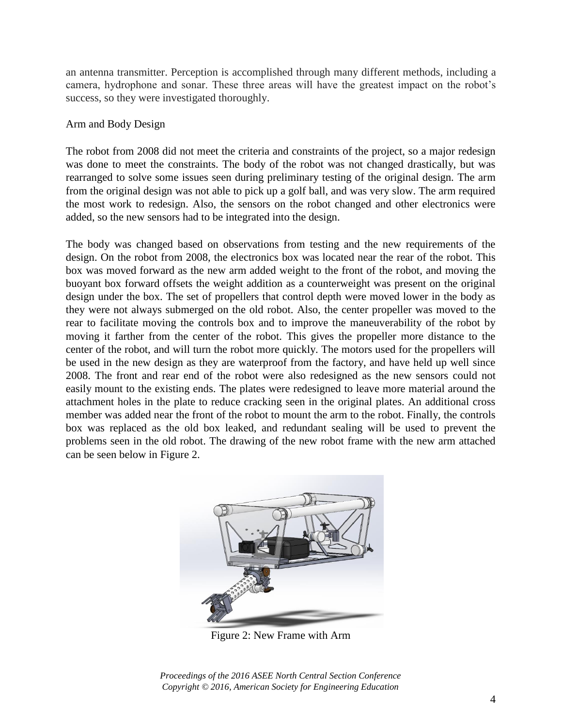an antenna transmitter. Perception is accomplished through many different methods, including a camera, hydrophone and sonar. These three areas will have the greatest impact on the robot's success, so they were investigated thoroughly.

# Arm and Body Design

The robot from 2008 did not meet the criteria and constraints of the project, so a major redesign was done to meet the constraints. The body of the robot was not changed drastically, but was rearranged to solve some issues seen during preliminary testing of the original design. The arm from the original design was not able to pick up a golf ball, and was very slow. The arm required the most work to redesign. Also, the sensors on the robot changed and other electronics were added, so the new sensors had to be integrated into the design.

The body was changed based on observations from testing and the new requirements of the design. On the robot from 2008, the electronics box was located near the rear of the robot. This box was moved forward as the new arm added weight to the front of the robot, and moving the buoyant box forward offsets the weight addition as a counterweight was present on the original design under the box. The set of propellers that control depth were moved lower in the body as they were not always submerged on the old robot. Also, the center propeller was moved to the rear to facilitate moving the controls box and to improve the maneuverability of the robot by moving it farther from the center of the robot. This gives the propeller more distance to the center of the robot, and will turn the robot more quickly. The motors used for the propellers will be used in the new design as they are waterproof from the factory, and have held up well since 2008. The front and rear end of the robot were also redesigned as the new sensors could not easily mount to the existing ends. The plates were redesigned to leave more material around the attachment holes in the plate to reduce cracking seen in the original plates. An additional cross member was added near the front of the robot to mount the arm to the robot. Finally, the controls box was replaced as the old box leaked, and redundant sealing will be used to prevent the problems seen in the old robot. The drawing of the new robot frame with the new arm attached can be seen below in Figure 2.



Figure 2: New Frame with Arm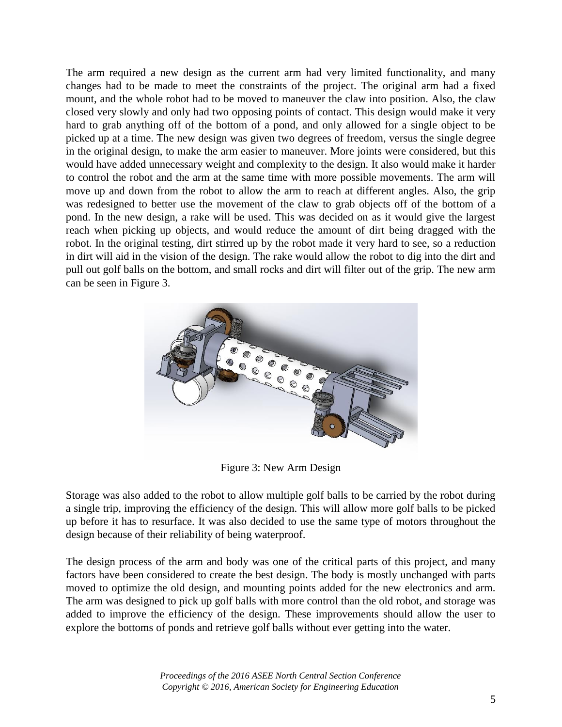The arm required a new design as the current arm had very limited functionality, and many changes had to be made to meet the constraints of the project. The original arm had a fixed mount, and the whole robot had to be moved to maneuver the claw into position. Also, the claw closed very slowly and only had two opposing points of contact. This design would make it very hard to grab anything off of the bottom of a pond, and only allowed for a single object to be picked up at a time. The new design was given two degrees of freedom, versus the single degree in the original design, to make the arm easier to maneuver. More joints were considered, but this would have added unnecessary weight and complexity to the design. It also would make it harder to control the robot and the arm at the same time with more possible movements. The arm will move up and down from the robot to allow the arm to reach at different angles. Also, the grip was redesigned to better use the movement of the claw to grab objects off of the bottom of a pond. In the new design, a rake will be used. This was decided on as it would give the largest reach when picking up objects, and would reduce the amount of dirt being dragged with the robot. In the original testing, dirt stirred up by the robot made it very hard to see, so a reduction in dirt will aid in the vision of the design. The rake would allow the robot to dig into the dirt and pull out golf balls on the bottom, and small rocks and dirt will filter out of the grip. The new arm can be seen in Figure 3.



Figure 3: New Arm Design

Storage was also added to the robot to allow multiple golf balls to be carried by the robot during a single trip, improving the efficiency of the design. This will allow more golf balls to be picked up before it has to resurface. It was also decided to use the same type of motors throughout the design because of their reliability of being waterproof.

The design process of the arm and body was one of the critical parts of this project, and many factors have been considered to create the best design. The body is mostly unchanged with parts moved to optimize the old design, and mounting points added for the new electronics and arm. The arm was designed to pick up golf balls with more control than the old robot, and storage was added to improve the efficiency of the design. These improvements should allow the user to explore the bottoms of ponds and retrieve golf balls without ever getting into the water.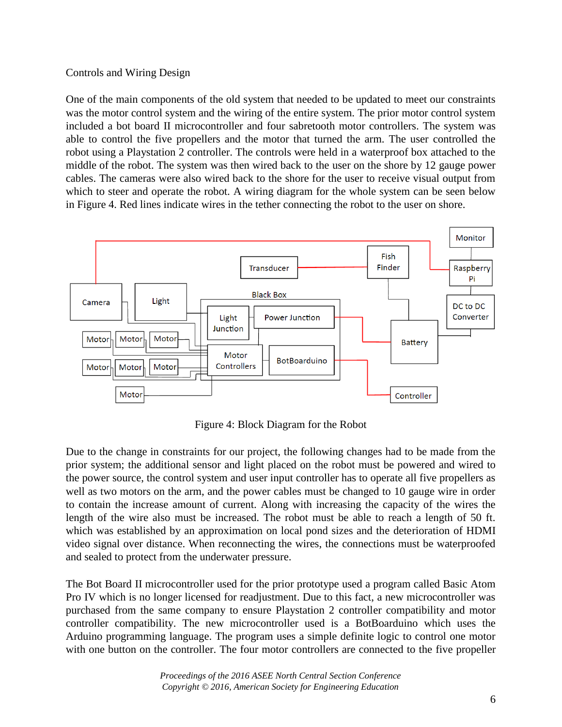# Controls and Wiring Design

One of the main components of the old system that needed to be updated to meet our constraints was the motor control system and the wiring of the entire system. The prior motor control system included a bot board II microcontroller and four sabretooth motor controllers. The system was able to control the five propellers and the motor that turned the arm. The user controlled the robot using a Playstation 2 controller. The controls were held in a waterproof box attached to the middle of the robot. The system was then wired back to the user on the shore by 12 gauge power cables. The cameras were also wired back to the shore for the user to receive visual output from which to steer and operate the robot. A wiring diagram for the whole system can be seen below in Figure 4. Red lines indicate wires in the tether connecting the robot to the user on shore.



Figure 4: Block Diagram for the Robot

Due to the change in constraints for our project, the following changes had to be made from the prior system; the additional sensor and light placed on the robot must be powered and wired to the power source, the control system and user input controller has to operate all five propellers as well as two motors on the arm, and the power cables must be changed to 10 gauge wire in order to contain the increase amount of current. Along with increasing the capacity of the wires the length of the wire also must be increased. The robot must be able to reach a length of 50 ft. which was established by an approximation on local pond sizes and the deterioration of HDMI video signal over distance. When reconnecting the wires, the connections must be waterproofed and sealed to protect from the underwater pressure.

The Bot Board II microcontroller used for the prior prototype used a program called Basic Atom Pro IV which is no longer licensed for readjustment. Due to this fact, a new microcontroller was purchased from the same company to ensure Playstation 2 controller compatibility and motor controller compatibility. The new microcontroller used is a BotBoarduino which uses the Arduino programming language. The program uses a simple definite logic to control one motor with one button on the controller. The four motor controllers are connected to the five propeller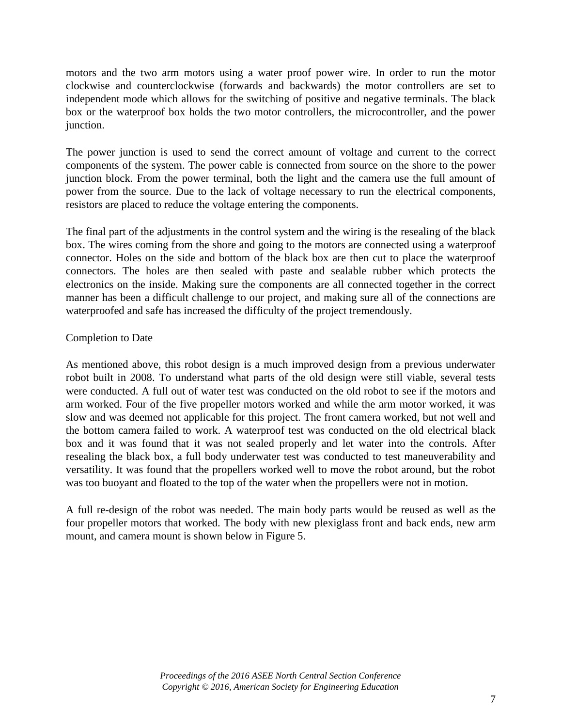motors and the two arm motors using a water proof power wire. In order to run the motor clockwise and counterclockwise (forwards and backwards) the motor controllers are set to independent mode which allows for the switching of positive and negative terminals. The black box or the waterproof box holds the two motor controllers, the microcontroller, and the power junction.

The power junction is used to send the correct amount of voltage and current to the correct components of the system. The power cable is connected from source on the shore to the power junction block. From the power terminal, both the light and the camera use the full amount of power from the source. Due to the lack of voltage necessary to run the electrical components, resistors are placed to reduce the voltage entering the components.

The final part of the adjustments in the control system and the wiring is the resealing of the black box. The wires coming from the shore and going to the motors are connected using a waterproof connector. Holes on the side and bottom of the black box are then cut to place the waterproof connectors. The holes are then sealed with paste and sealable rubber which protects the electronics on the inside. Making sure the components are all connected together in the correct manner has been a difficult challenge to our project, and making sure all of the connections are waterproofed and safe has increased the difficulty of the project tremendously.

## Completion to Date

As mentioned above, this robot design is a much improved design from a previous underwater robot built in 2008. To understand what parts of the old design were still viable, several tests were conducted. A full out of water test was conducted on the old robot to see if the motors and arm worked. Four of the five propeller motors worked and while the arm motor worked, it was slow and was deemed not applicable for this project. The front camera worked, but not well and the bottom camera failed to work. A waterproof test was conducted on the old electrical black box and it was found that it was not sealed properly and let water into the controls. After resealing the black box, a full body underwater test was conducted to test maneuverability and versatility. It was found that the propellers worked well to move the robot around, but the robot was too buoyant and floated to the top of the water when the propellers were not in motion.

A full re-design of the robot was needed. The main body parts would be reused as well as the four propeller motors that worked. The body with new plexiglass front and back ends, new arm mount, and camera mount is shown below in Figure 5.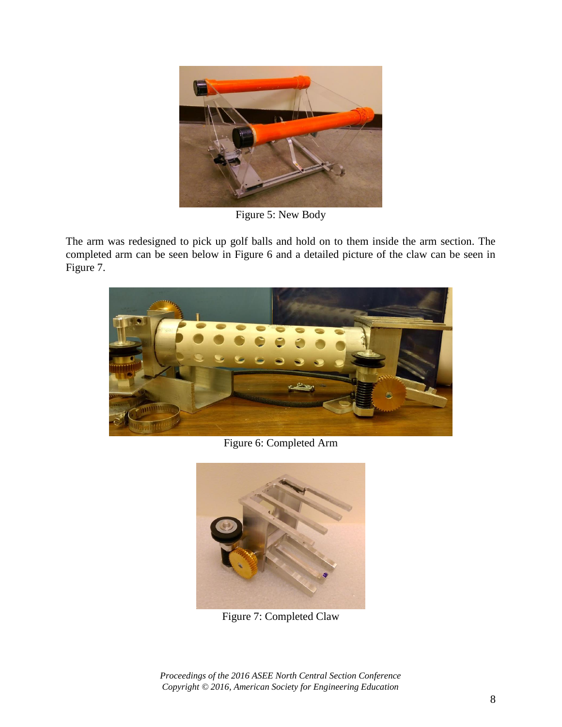

Figure 5: New Body

The arm was redesigned to pick up golf balls and hold on to them inside the arm section. The completed arm can be seen below in Figure 6 and a detailed picture of the claw can be seen in Figure 7.



Figure 6: Completed Arm



Figure 7: Completed Claw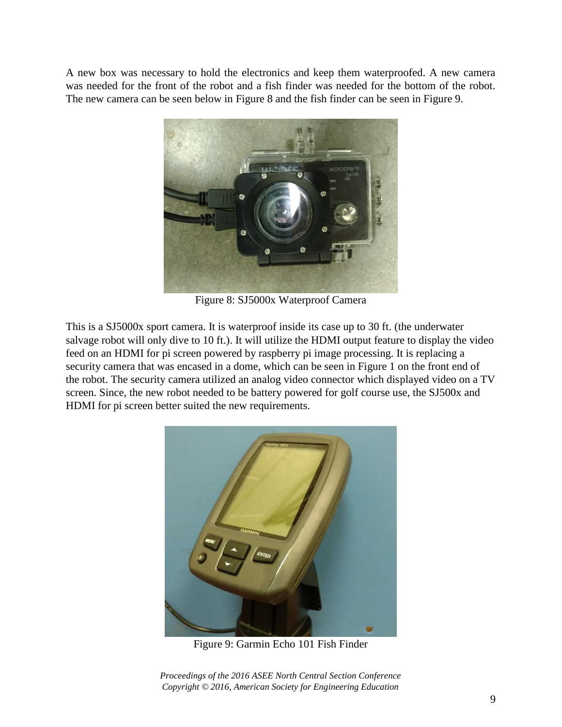A new box was necessary to hold the electronics and keep them waterproofed. A new camera was needed for the front of the robot and a fish finder was needed for the bottom of the robot. The new camera can be seen below in Figure 8 and the fish finder can be seen in Figure 9.



Figure 8: SJ5000x Waterproof Camera

This is a SJ5000x sport camera. It is waterproof inside its case up to 30 ft. (the underwater salvage robot will only dive to 10 ft.). It will utilize the HDMI output feature to display the video feed on an HDMI for pi screen powered by raspberry pi image processing. It is replacing a security camera that was encased in a dome, which can be seen in Figure 1 on the front end of the robot. The security camera utilized an analog video connector which displayed video on a TV screen. Since, the new robot needed to be battery powered for golf course use, the SJ500x and HDMI for pi screen better suited the new requirements.



Figure 9: Garmin Echo 101 Fish Finder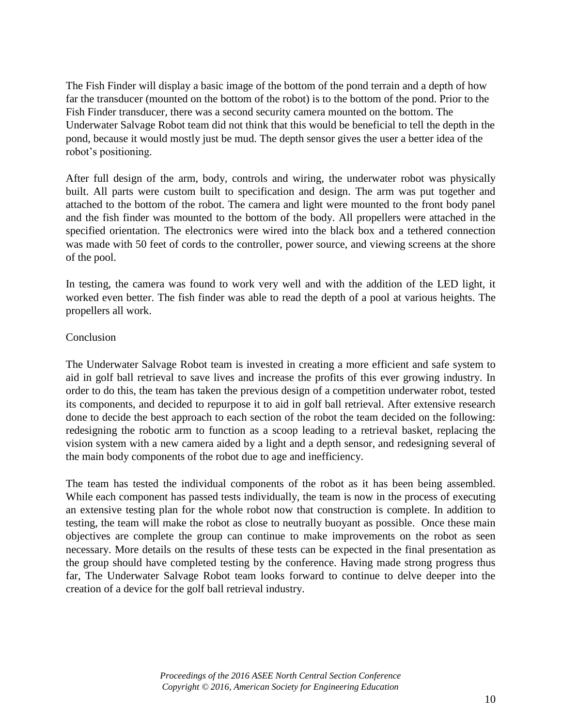The Fish Finder will display a basic image of the bottom of the pond terrain and a depth of how far the transducer (mounted on the bottom of the robot) is to the bottom of the pond. Prior to the Fish Finder transducer, there was a second security camera mounted on the bottom. The Underwater Salvage Robot team did not think that this would be beneficial to tell the depth in the pond, because it would mostly just be mud. The depth sensor gives the user a better idea of the robot's positioning.

After full design of the arm, body, controls and wiring, the underwater robot was physically built. All parts were custom built to specification and design. The arm was put together and attached to the bottom of the robot. The camera and light were mounted to the front body panel and the fish finder was mounted to the bottom of the body. All propellers were attached in the specified orientation. The electronics were wired into the black box and a tethered connection was made with 50 feet of cords to the controller, power source, and viewing screens at the shore of the pool.

In testing, the camera was found to work very well and with the addition of the LED light, it worked even better. The fish finder was able to read the depth of a pool at various heights. The propellers all work.

## Conclusion

The Underwater Salvage Robot team is invested in creating a more efficient and safe system to aid in golf ball retrieval to save lives and increase the profits of this ever growing industry. In order to do this, the team has taken the previous design of a competition underwater robot, tested its components, and decided to repurpose it to aid in golf ball retrieval. After extensive research done to decide the best approach to each section of the robot the team decided on the following: redesigning the robotic arm to function as a scoop leading to a retrieval basket, replacing the vision system with a new camera aided by a light and a depth sensor, and redesigning several of the main body components of the robot due to age and inefficiency.

The team has tested the individual components of the robot as it has been being assembled. While each component has passed tests individually, the team is now in the process of executing an extensive testing plan for the whole robot now that construction is complete. In addition to testing, the team will make the robot as close to neutrally buoyant as possible. Once these main objectives are complete the group can continue to make improvements on the robot as seen necessary. More details on the results of these tests can be expected in the final presentation as the group should have completed testing by the conference. Having made strong progress thus far, The Underwater Salvage Robot team looks forward to continue to delve deeper into the creation of a device for the golf ball retrieval industry.